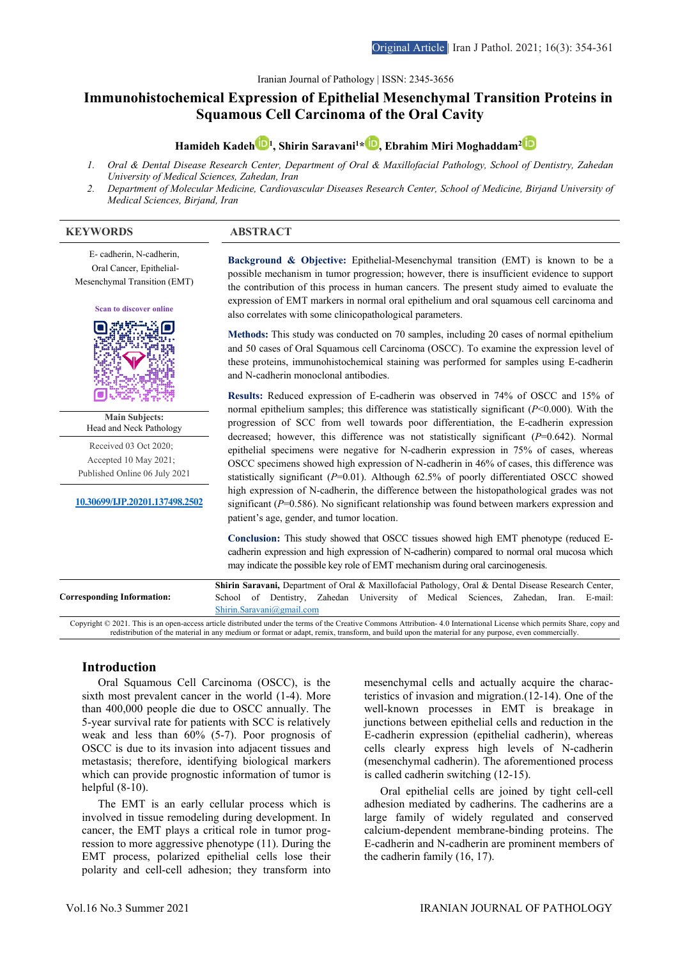Iranian Journal of Pathology | ISSN: 2345-3656

# **Immunohistochemical Expression of Epithelial Mesenchymal Transition Proteins in Squamous Cell Carcinoma of the Oral Cavity**

**Hamideh Kadeh [1](https://www.orcid.org/0000-0001-7127-0559) , Shirin Saravani1 \* , Ebrahim Miri Moghaddam2**

- *1. Oral & Dental Disease Research Center, Department of Oral & Maxillofacial Pathology, School of Dentistry, Zahedan University of Medical Sciences, Zahedan, Iran*
- *2. Department of Molecular Medicine, Cardiovascular Diseases Research Center, School of Medicine, Birjand University of Medical Sciences, Birjand, Iran*

#### **KEYWORDS ABSTRACT**

E- cadherin, N-cadherin, Oral Cancer, Epithelial-Mesenchymal Transition (EMT)

**Scan to discover online**



**Main Subjects:**  Head and Neck Pathology

Received 03 Oct 2020; Accepted 10 May 2021; Published Online 06 July 2021

**10.30699/IJP.20201.137498.2502**

**Background & Objective:** Epithelial-Mesenchymal transition (EMT) is known to be a possible mechanism in tumor progression; however, there is insufficient evidence to support the contribution of this process in human cancers. The present study aimed to evaluate the expression of EMT markers in normal oral epithelium and oral squamous cell carcinoma and also correlates with some clinicopathological parameters.

**Methods:** This study was conducted on 70 samples, including 20 cases of normal epithelium and 50 cases of Oral Squamous cell Carcinoma (OSCC). To examine the expression level of these proteins, immunohistochemical staining was performed for samples using E-cadherin and N-cadherin monoclonal antibodies.

**Results:** Reduced expression of E-cadherin was observed in 74% of OSCC and 15% of normal epithelium samples; this difference was statistically significant (*P*˂0.000). With the progression of SCC from well towards poor differentiation, the E-cadherin expression decreased; however, this difference was not statistically significant (*P*=0.642). Normal epithelial specimens were negative for N-cadherin expression in 75% of cases, whereas OSCC specimens showed high expression of N-cadherin in 46% of cases, this difference was statistically significant (*P*=0.01). Although 62.5% of poorly differentiated OSCC showed high expression of N-cadherin, the difference between the histopathological grades was not significant (*P*=0.586). No significant relationship was found between markers expression and patient's age, gender, and tumor location.

**Conclusion:** This study showed that OSCC tissues showed high EMT phenotype (reduced Ecadherin expression and high expression of N-cadherin) compared to normal oral mucosa which may indicate the possible key role of EMT mechanism during oral carcinogenesis.

|                                                                                                                                                                                                                                                                                                                                | Shirin Saravani, Department of Oral & Maxillofacial Pathology, Oral & Dental Disease Research Center, |  |                           |  |                                                                                     |  |  |  |  |  |
|--------------------------------------------------------------------------------------------------------------------------------------------------------------------------------------------------------------------------------------------------------------------------------------------------------------------------------|-------------------------------------------------------------------------------------------------------|--|---------------------------|--|-------------------------------------------------------------------------------------|--|--|--|--|--|
| Corresponding Information:                                                                                                                                                                                                                                                                                                     |                                                                                                       |  |                           |  | School of Dentistry, Zahedan University of Medical Sciences, Zahedan, Iran. E-mail: |  |  |  |  |  |
|                                                                                                                                                                                                                                                                                                                                |                                                                                                       |  | Shirin.Saravani@email.com |  |                                                                                     |  |  |  |  |  |
| Copyright © 2021. This is an open-access article distributed under the terms of the Creative Commons Attribution-4.0 International License which permits Share, copy and<br>redistribution of the material in any medium or format or adapt, remix, transform, and build upon the material for any purpose, even commercially. |                                                                                                       |  |                           |  |                                                                                     |  |  |  |  |  |

#### **Introduction**

Oral Squamous Cell Carcinoma (OSCC), is the sixth most prevalent cancer in the world (1-4). More than 400,000 people die due to OSCC annually. The 5-year survival rate for patients with SCC is relatively weak and less than 60% (5-7). Poor prognosis of OSCC is due to its invasion into adjacent tissues and metastasis; therefore, identifying biological markers which can provide prognostic information of tumor is helpful (8-10).

The EMT is an early cellular process which is involved in tissue remodeling during development. In cancer, the EMT plays a critical role in tumor progression to more aggressive phenotype (11). During the EMT process, polarized epithelial cells lose their polarity and cell-cell adhesion; they transform into

mesenchymal cells and actually acquire the characteristics of invasion and migration.(12-14). One of the well-known processes in EMT is breakage in junctions between epithelial cells and reduction in the E-cadherin expression (epithelial cadherin), whereas cells clearly express high levels of N-cadherin (mesenchymal cadherin). The aforementioned process is called cadherin switching (12-15).

Oral epithelial cells are joined by tight cell-cell adhesion mediated by cadherins. The cadherins are a large family of widely regulated and conserved calcium-dependent membrane-binding proteins. The E-cadherin and N-cadherin are prominent members of the cadherin family (16, 17).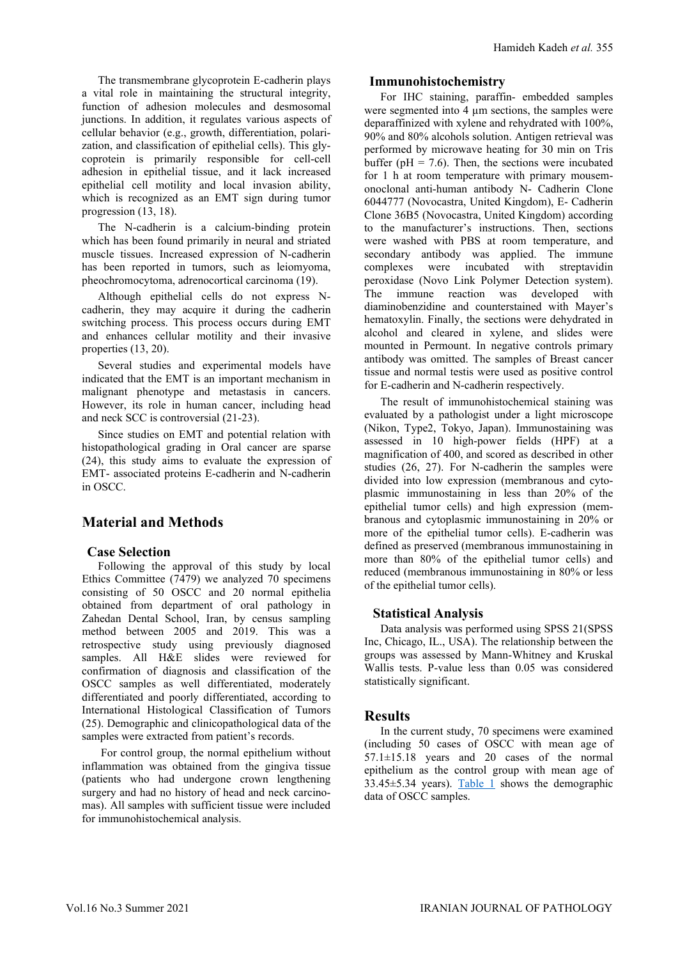The transmembrane glycoprotein E-cadherin plays a vital role in maintaining the structural integrity, function of adhesion molecules and desmosomal junctions. In addition, it regulates various aspects of cellular behavior (e.g., growth, differentiation, polarization, and classification of epithelial cells). This glycoprotein is primarily responsible for cell-cell adhesion in epithelial tissue, and it lack increased epithelial cell motility and local invasion ability, which is recognized as an EMT sign during tumor progression (13, 18).

The N-cadherin is a calcium-binding protein which has been found primarily in neural and striated muscle tissues. Increased expression of N-cadherin has been reported in tumors, such as leiomyoma, pheochromocytoma, adrenocortical carcinoma (19).

Although epithelial cells do not express Ncadherin, they may acquire it during the cadherin switching process. This process occurs during EMT and enhances cellular motility and their invasive properties (13, 20).

Several studies and experimental models have indicated that the EMT is an important mechanism in malignant phenotype and metastasis in cancers. However, its role in human cancer, including head and neck SCC is controversial (21-23).

Since studies on EMT and potential relation with histopathological grading in Oral cancer are sparse (24), this study aims to evaluate the expression of EMT- associated proteins E-cadherin and N-cadherin in OSCC.

# **Material and Methods**

## **Case Selection**

Following the approval of this study by local Ethics Committee (7479) we analyzed 70 specimens consisting of 50 OSCC and 20 normal epithelia obtained from department of oral pathology in Zahedan Dental School, Iran, by census sampling method between 2005 and 2019. This was a retrospective study using previously diagnosed samples. All H&E slides were reviewed for confirmation of diagnosis and classification of the OSCC samples as well differentiated, moderately differentiated and poorly differentiated, according to International Histological Classification of Tumors (25). Demographic and clinicopathological data of the samples were extracted from patient's records.

<span id="page-1-0"></span>For control group, the normal epithelium without inflammation was obtained from the gingiva tissue (patients who had undergone crown lengthening surgery and had no history of head and neck carcinomas). All samples with sufficient tissue were included for immunohistochemical analysis.

## **Immunohistochemistry**

For IHC staining, paraffin- embedded samples were segmented into 4  $\mu$ m sections, the samples were deparaffinized with xylene and rehydrated with 100%, 90% and 80% alcohols solution. Antigen retrieval was performed by microwave heating for 30 min on Tris buffer ( $pH = 7.6$ ). Then, the sections were incubated for 1 h at room temperature with primary mousemonoclonal anti-human antibody N- Cadherin Clone 6044777 (Novocastra, United Kingdom), E- Cadherin Clone 36B5 (Novocastra, United Kingdom) according to the manufacturer's instructions. Then, sections were washed with PBS at room temperature, and secondary antibody was applied. The immune complexes were incubated with streptavidin peroxidase (Novo Link Polymer Detection system). The immune reaction was developed with diaminobenzidine and counterstained with Mayer's hematoxylin. Finally, the sections were dehydrated in alcohol and cleared in xylene, and slides were mounted in Permount. In negative controls primary antibody was omitted. The samples of Breast cancer tissue and normal testis were used as positive control for E-cadherin and N-cadherin respectively.

The result of immunohistochemical staining was evaluated by a pathologist under a light microscope (Nikon, Type2, Tokyo, Japan). Immunostaining was assessed in 10 high-power fields (HPF) at a magnification of 400, and scored as described in other studies (26, 27). For N-cadherin the samples were divided into low expression (membranous and cytoplasmic immunostaining in less than 20% of the epithelial tumor cells) and high expression (membranous and cytoplasmic immunostaining in 20% or more of the epithelial tumor cells). E-cadherin was defined as preserved (membranous immunostaining in more than 80% of the epithelial tumor cells) and reduced (membranous immunostaining in 80% or less of the epithelial tumor cells).

## **Statistical Analysis**

Data analysis was performed using SPSS 21(SPSS Inc, Chicago, IL., USA). The relationship between the groups was assessed by Mann-Whitney and Kruskal Wallis tests. P-value less than 0.05 was considered statistically significant.

## **Results**

In the current study, 70 specimens were examined (including 50 cases of OSCC with mean age of 57.1±15.18 years and 20 cases of the normal epithelium as the control group with mean age of 33.45±5.34 years). [Table 1](#page-1-0) shows the demographic data of OSCC samples.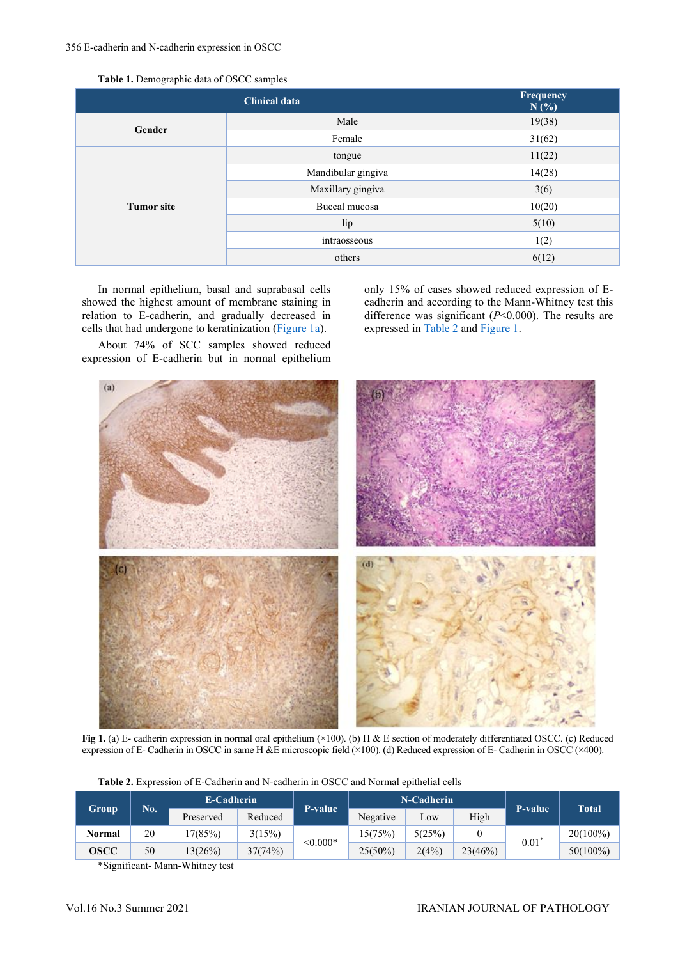| Table 1. Demographic data of OSCC samples |  |  |
|-------------------------------------------|--|--|
|-------------------------------------------|--|--|

|                   | Frequency<br>N(%)  |        |  |  |
|-------------------|--------------------|--------|--|--|
| Gender            | Male               | 19(38) |  |  |
|                   | Female             | 31(62) |  |  |
|                   | tongue             | 11(22) |  |  |
|                   | Mandibular gingiva | 14(28) |  |  |
|                   | Maxillary gingiva  | 3(6)   |  |  |
| <b>Tumor</b> site | Buccal mucosa      | 10(20) |  |  |
|                   | lip                | 5(10)  |  |  |
|                   | intraosseous       | 1(2)   |  |  |
|                   | others             | 6(12)  |  |  |

In normal epithelium, basal and suprabasal cells showed the highest amount of membrane staining in relation to E-cadherin, and gradually decreased in cells that had undergone to keratinization (*Figure 1a*).

About 74% of SCC samples showed reduced expression of E-cadherin but in normal epithelium only 15% of cases showed reduced expression of Ecadherin and according to the Mann-Whitney test this difference was significant (*P*<0.000). The results are expressed in [Table 2](#page-2-1) and [Figure](#page-2-0) 1.



**Fig 1.** (a) E- cadherin expression in normal oral epithelium (×100). (b) H & E section of moderately differentiated OSCC. (c) Reduced expression of E- Cadherin in OSCC in same H &E microscopic field (×100). (d) Reduced expression of E- Cadherin in OSCC (×400).

|              | No. | E-Cadherin |         | P-value       |            | N-Cadherin | <b>P-value</b> | <b>Total</b> |             |
|--------------|-----|------------|---------|---------------|------------|------------|----------------|--------------|-------------|
| <b>Group</b> |     | Preserved  | Reduced |               | Negative   | Low        | High           |              |             |
| Normal       | 20  | 17(85%)    | 3(15%)  | $\leq 0.000*$ | 15(75%)    | 5(25%)     |                | $0.01^*$     | $20(100\%)$ |
| OSCC         | 50  | 13(26%)    | 37(74%) |               | $25(50\%)$ | 2(4%)      | 23(46%)        |              | $50(100\%)$ |

<span id="page-2-1"></span><span id="page-2-0"></span>**Table 2.** Expression of E-Cadherin and N-cadherin in OSCC and Normal epithelial cells

\*Significant- Mann-Whitney test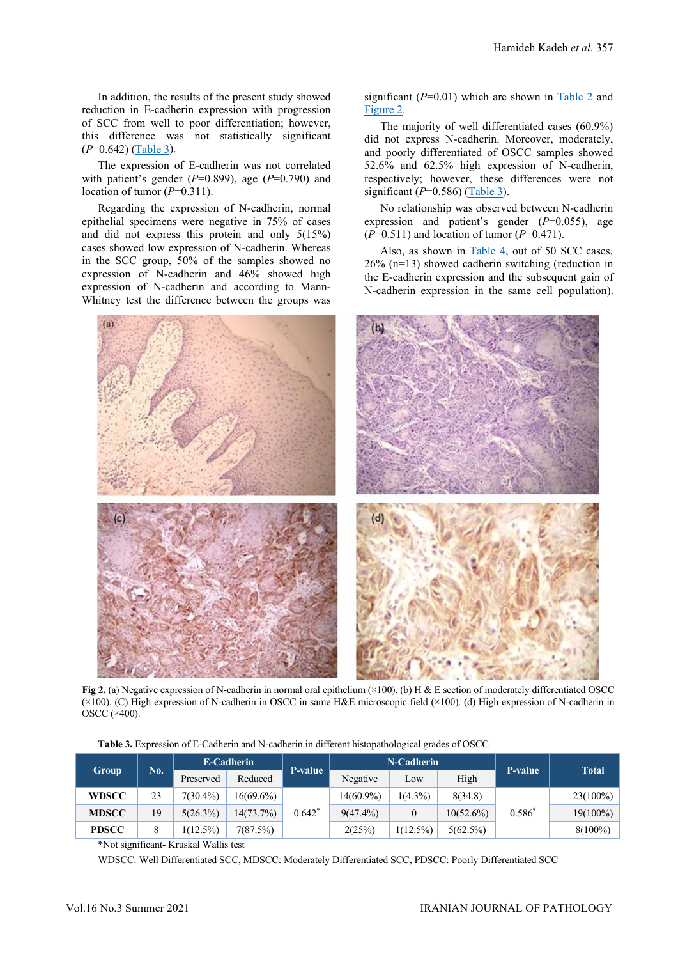In addition, the results of the present study showed reduction in E-cadherin expression with progression of SCC from well to poor differentiation; however, this difference was not statistically significant (*P*=0.642) [\(Table 3\)](#page-3-0).

The expression of E-cadherin was not correlated with patient's gender (*P*=0.899), age (*P*=0.790) and location of tumor ( $P=0.311$ ).

Regarding the expression of N-cadherin, normal epithelial specimens were negative in 75% of cases and did not express this protein and only 5(15%) cases showed low expression of N-cadherin. Whereas in the SCC group, 50% of the samples showed no expression of N-cadherin and 46% showed high expression of N-cadherin and according to Mann-Whitney test the difference between the groups was

significant (*P*=0.01) which are shown in [Table 2](#page-2-1) and [Figure 2.](#page-3-1)

The majority of well differentiated cases (60.9%) did not express N-cadherin. Moreover, moderately, and poorly differentiated of OSCC samples showed 52.6% and 62.5% high expression of N-cadherin, respectively; however, these differences were not significant (*P*=0.586) [\(Table 3\)](#page-3-0).

No relationship was observed between N-cadherin expression and patient's gender (*P*=0.055), age (*P*=0.511) and location of tumor (*P*=0.471).

Also, as shown in [Table 4,](#page-4-0) out of 50 SCC cases, 26% (n=13) showed cadherin switching (reduction in the E-cadherin expression and the subsequent gain of N-cadherin expression in the same cell population).



**Fig 2.** (a) Negative expression of N-cadherin in normal oral epithelium (×100). (b) H & E section of moderately differentiated OSCC (×100). (C) High expression of N-cadherin in OSCC in same H&E microscopic field (×100). (d) High expression of N-cadherin in OSCC (×400).

<span id="page-3-1"></span>**Table 3.** Expression of E-Cadherin and N-cadherin in different histopathological grades of OSCC

<span id="page-3-0"></span>

|              |     | E-Cadherin  |              |          |             | N-Cadherin  | P-value      | <b>Total</b> |             |
|--------------|-----|-------------|--------------|----------|-------------|-------------|--------------|--------------|-------------|
| Group        | No. | Preserved   | Reduced      | P-value  | Negative    | Low         | High         |              |             |
| <b>WDSCC</b> | 23  | $7(30.4\%)$ | $16(69.6\%)$ |          | 14(60.9%)   | $1(4.3\%)$  | 8(34.8)      | $0.586*$     | $23(100\%)$ |
| <b>MDSCC</b> | 19  | $5(26.3\%)$ | 14(73.7%)    | $0.642*$ | $9(47.4\%)$ |             | $10(52.6\%)$ |              | $19(100\%)$ |
| <b>PDSCC</b> |     | $1(12.5\%)$ | 7(87.5%)     |          | 2(25%)      | $1(12.5\%)$ | $5(62.5\%)$  |              | $8(100\%)$  |

\*Not significant- Kruskal Wallis test

WDSCC: Well Differentiated SCC, MDSCC: Moderately Differentiated SCC, PDSCC: Poorly Differentiated SCC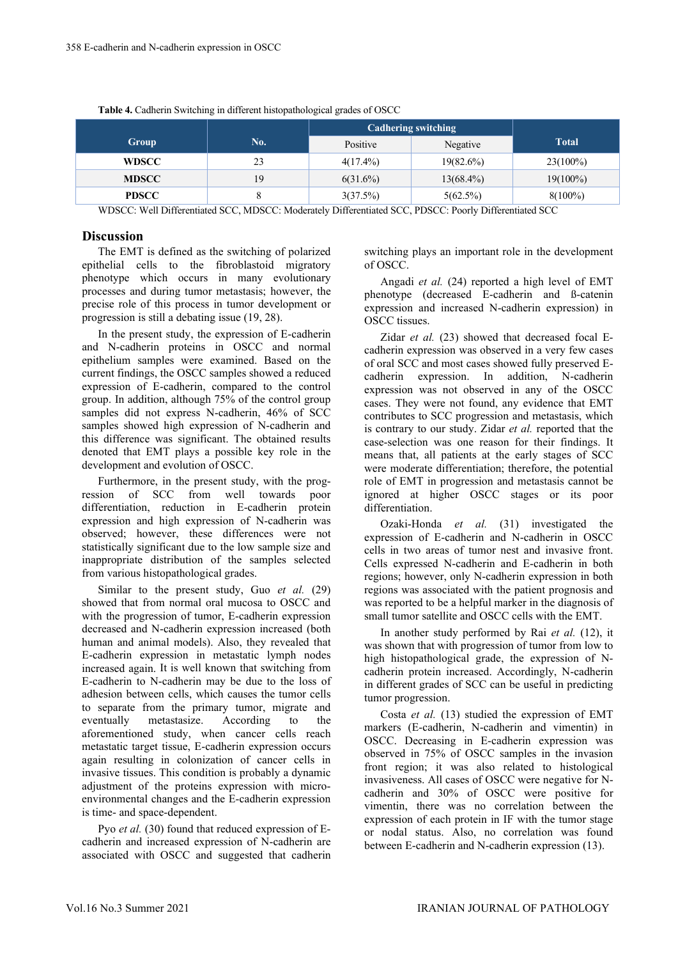<span id="page-4-0"></span>

|              |     | <b>Cadhering switching</b> |              |              |  |  |  |  |  |
|--------------|-----|----------------------------|--------------|--------------|--|--|--|--|--|
| Group        | No. | Positive                   | Negative     | <b>Total</b> |  |  |  |  |  |
| <b>WDSCC</b> | 23  | $4(17.4\%)$                | $19(82.6\%)$ | $23(100\%)$  |  |  |  |  |  |
| <b>MDSCC</b> | 19  | $6(31.6\%)$                | $13(68.4\%)$ | $19(100\%)$  |  |  |  |  |  |
| <b>PDSCC</b> |     | 3(37.5%)                   | 5(62.5%)     | $8(100\%)$   |  |  |  |  |  |

**Table 4.** Cadherin Switching in different histopathological grades of OSCC

WDSCC: Well Differentiated SCC, MDSCC: Moderately Differentiated SCC, PDSCC: Poorly Differentiated SCC

#### **Discussion**

The EMT is defined as the switching of polarized epithelial cells to the fibroblastoid migratory phenotype which occurs in many evolutionary processes and during tumor metastasis; however, the precise role of this process in tumor development or progression is still a debating issue (19, 28).

In the present study, the expression of E-cadherin and N-cadherin proteins in OSCC and normal epithelium samples were examined. Based on the current findings, the OSCC samples showed a reduced expression of E-cadherin, compared to the control group. In addition, although 75% of the control group samples did not express N-cadherin, 46% of SCC samples showed high expression of N-cadherin and this difference was significant. The obtained results denoted that EMT plays a possible key role in the development and evolution of OSCC .

Furthermore, in the present study, with the progression of SCC from well towards poor differentiation, reduction in E-cadherin protein expression and high expression of N-cadherin was observed; however, these differences were not statistically significant due to the low sample size and inappropriate distribution of the samples selected from various histopathological grades.

Similar to the present study, Guo *et al.* (29) showed that from normal oral mucosa to OSCC and with the progression of tumor, E-cadherin expression decreased and N-cadherin expression increased (both human and animal models). Also, they revealed that E-cadherin expression in metastatic lymph nodes increased again. It is well known that switching from E-cadherin to N-cadherin may be due to the loss of adhesion between cells, which causes the tumor cells to separate from the primary tumor, migrate and<br>eventually metastasize. According to the metastasize. According to the aforementioned study, when cancer cells reach metastatic target tissue, E-cadherin expression occurs again resulting in colonization of cancer cells in invasive tissues. This condition is probably a dynamic adjustment of the proteins expression with microenvironmental changes and the E-cadherin expression is time- and space-dependent.

Pyo *et al.* (30) found that reduced expression of Ecadherin and increased expression of N-cadherin are associated with OSCC and suggested that cadherin switching plays an important role in the development of OSCC.

Angadi *et al.* (24) reported a high level of EMT phenotype (decreased E-cadherin and ß-catenin expression and increased N-cadherin expression) in OSCC tissues.

Zidar *et al.* (23) showed that decreased focal Ecadherin expression was observed in a very few cases of oral SCC and most cases showed fully preserved Ecadherin expression. In addition, N-cadherin expression was not observed in any of the OSCC cases. They were not found, any evidence that EMT contributes to SCC progression and metastasis, which is contrary to our study. Zidar *et al.* reported that the case-selection was one reason for their findings. It means that, all patients at the early stages of SCC were moderate differentiation; therefore, the potential role of EMT in progression and metastasis cannot be ignored at higher OSCC stages or its poor differentiation.

Ozaki-Honda *et al.* (31) investigated the expression of E-cadherin and N-cadherin in OSCC cells in two areas of tumor nest and invasive front. Cells expressed N-cadherin and E-cadherin in both regions; however, only N-cadherin expression in both regions was associated with the patient prognosis and was reported to be a helpful marker in the diagnosis of small tumor satellite and OSCC cells with the EMT.

In another study performed by Rai *et al.* (12), it was shown that with progression of tumor from low to high histopathological grade, the expression of Ncadherin protein increased. Accordingly, N-cadherin in different grades of SCC can be useful in predicting tumor progression.

Costa *et al.* (13) studied the expression of EMT markers (E-cadherin, N-cadherin and vimentin) in OSCC. Decreasing in E-cadherin expression was observed in 75% of OSCC samples in the invasion front region; it was also related to histological invasiveness. All cases of OSCC were negative for Ncadherin and 30% of OSCC were positive for vimentin, there was no correlation between the expression of each protein in IF with the tumor stage or nodal status. Also, no correlation was found between E-cadherin and N-cadherin expression (13).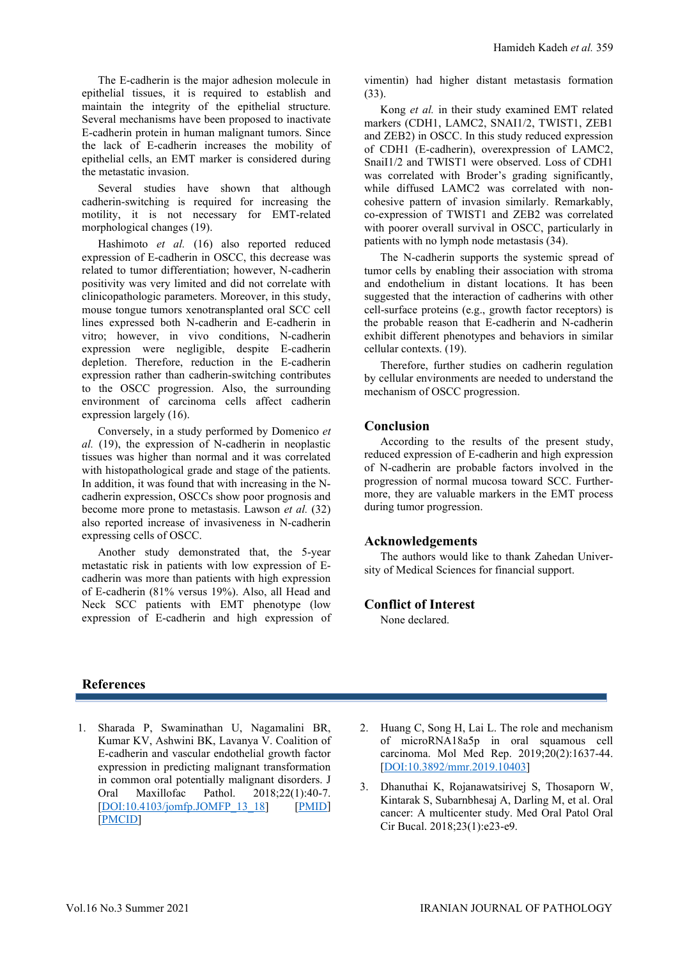The E-cadherin is the major adhesion molecule in epithelial tissues, it is required to establish and maintain the integrity of the epithelial structure. Several mechanisms have been proposed to inactivate E-cadherin protein in human malignant tumors. Since the lack of E-cadherin increases the mobility of epithelial cells, an EMT marker is considered during the metastatic invasion.

Several studies have shown that although cadherin-switching is required for increasing the motility, it is not necessary for EMT-related morphological changes (19).

Hashimoto *et al.* (16) also reported reduced expression of E-cadherin in OSCC, this decrease was related to tumor differentiation; however, N-cadherin positivity was very limited and did not correlate with clinicopathologic parameters. Moreover, in this study, mouse tongue tumors xenotransplanted oral SCC cell lines expressed both N-cadherin and E-cadherin in vitro; however, in vivo conditions, N-cadherin expression were negligible, despite E-cadherin depletion. Therefore, reduction in the E-cadherin expression rather than cadherin-switching contributes to the OSCC progression. Also, the surrounding environment of carcinoma cells affect cadherin expression largely (16).

Conversely, in a study performed by Domenico *et al.* (19), the expression of N-cadherin in neoplastic tissues was higher than normal and it was correlated with histopathological grade and stage of the patients. In addition, it was found that with increasing in the Ncadherin expression, OSCCs show poor prognosis and become more prone to metastasis. Lawson *et al.* (32) also reported increase of invasiveness in N-cadherin expressing cells of OSCC.

Another study demonstrated that, the 5-year metastatic risk in patients with low expression of Ecadherin was more than patients with high expression of E-cadherin (81% versus 19%). Also, all Head and Neck SCC patients with EMT phenotype (low expression of E-cadherin and high expression of vimentin) had higher distant metastasis formation (33).

Kong *et al.* in their study examined EMT related markers (CDH1, LAMC2, SNAI1/2, TWIST1, ZEB1 and ZEB2) in OSCC. In this study reduced expression of CDH1 (E-cadherin), overexpression of LAMC2, SnaiI1/2 and TWIST1 were observed. Loss of CDH1 was correlated with Broder's grading significantly, while diffused LAMC2 was correlated with noncohesive pattern of invasion similarly. Remarkably, co-expression of TWIST1 and ZEB2 was correlated with poorer overall survival in OSCC, particularly in patients with no lymph node metastasis (34).

The N-cadherin supports the systemic spread of tumor cells by enabling their association with stroma and endothelium in distant locations. It has been suggested that the interaction of cadherins with other cell-surface proteins (e.g., growth factor receptors) is the probable reason that E-cadherin and N-cadherin exhibit different phenotypes and behaviors in similar cellular contexts. (19).

Therefore, further studies on cadherin regulation by cellular environments are needed to understand the mechanism of OSCC progression.

## **Conclusion**

According to the results of the present study, reduced expression of E-cadherin and high expression of N-cadherin are probable factors involved in the progression of normal mucosa toward SCC. Furthermore, they are valuable markers in the EMT process during tumor progression.

### **Acknowledgements**

The authors would like to thank Zahedan University of Medical Sciences for financial support.

#### **Conflict of Interest**

None declared.

### **References**

- 1. Sharada P, Swaminathan U, Nagamalini BR, Kumar KV, Ashwini BK, Lavanya V. Coalition of E-cadherin and vascular endothelial growth factor expression in predicting malignant transformation in common oral potentially malignant disorders. J<br>Oral Maxillofac Pathol. 2018:22(1):40-7. Oral Maxillofac Pathol. 2018;22(1):40-7. [\[DOI:10.4103/jomfp.JOMFP\\_13\\_18\]](https://doi.org/10.3390/jcm9092866) [\[PMID\]](https://www.ncbi.nlm.nih.gov/pmc/articles/pmid/29731555/) [\[PMCID\]](https://pubmed.ncbi.nlm.nih.gov/29731555/)
- 2. Huang C, Song H, Lai L. The role and mechanism of microRNA18a5p in oral squamous cell carcinoma. Mol Med Rep. 2019;20(2):1637-44. [\[DOI:10.3892/mmr.2019.10403\]](https://doi.org/10.3892/mmr.2019.10403)
- 3. Dhanuthai K, Rojanawatsirivej S, Thosaporn W, Kintarak S, Subarnbhesaj A, Darling M, et al. Oral cancer: A multicenter study. Med Oral Patol Oral Cir Bucal. 2018;23(1):e23-e9.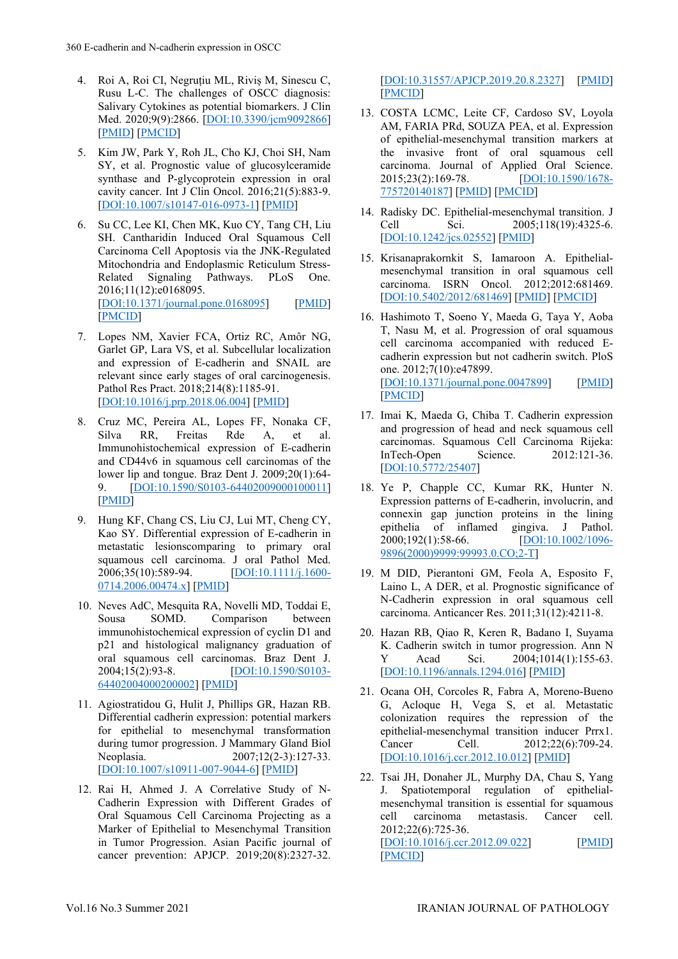- 4. Roi A, Roi CI, Negruțiu ML, Riviș M, Sinescu C, Rusu L-C. The challenges of OSCC diagnosis: Salivary Cytokines as potential biomarkers. J Clin Med. 2020;9(9):2866. [\[DOI:10.3390/jcm9092866\]](https://doi.org/10.3390/jcm9092866) [\[PMID\]](https://www.ncbi.nlm.nih.gov/pubmed/32899735) [\[PMCID\]](http://www.ncbi.nlm.nih.gov/pmc/articles/PMC7565402)
- 5. Kim JW, Park Y, Roh JL, Cho KJ, Choi SH, Nam SY, et al. Prognostic value of glucosylceramide synthase and P-glycoprotein expression in oral cavity cancer. Int J Clin Oncol. 2016;21(5):883-9. [\[DOI:10.1007/s10147-016-0973-1\]](https://doi.org/10.1007/s10147-016-0973-1) [\[PMID\]](https://www.ncbi.nlm.nih.gov/pubmed/27000845)
- 6. Su CC, Lee KI, Chen MK, Kuo CY, Tang CH, Liu SH. Cantharidin Induced Oral Squamous Cell Carcinoma Cell Apoptosis via the JNK-Regulated Mitochondria and Endoplasmic Reticulum Stress-Related Signaling Pathways. PLoS One. 2016;11(12):e0168095. [\[DOI:10.1371/journal.pone.0168095\]](https://doi.org/10.1371/journal.pone.0168095) [\[PMID\]](https://www.ncbi.nlm.nih.gov/pubmed/27930712) [\[PMCID\]](http://www.ncbi.nlm.nih.gov/pmc/articles/PMC5145211)
- 7. Lopes NM, Xavier FCA, Ortiz RC, Amôr NG, Garlet GP, Lara VS, et al. Subcellular localization and expression of E-cadherin and SNAIL are relevant since early stages of oral carcinogenesis. Pathol Res Pract. 2018;214(8):1185-91. [\[DOI:10.1016/j.prp.2018.06.004\]](https://doi.org/10.1016/j.prp.2018.06.004) [\[PMID\]](https://www.ncbi.nlm.nih.gov/pubmed/29970306)
- 8. Cruz MC, Pereira AL, Lopes FF, Nonaka CF, Silva RR, Freitas Rde A, et al. Immunohistochemical expression of E-cadherin and CD44v6 in squamous cell carcinomas of the lower lip and tongue. Braz Dent J. 2009;20(1):64- 9. **[\[DOI:10.1590/S0103-64402009000100011\]](https://doi.org/10.1590/S0103-64402009000100011)** [\[PMID\]](https://www.ncbi.nlm.nih.gov/pubmed/19466234)
- 9. Hung KF, Chang CS, Liu CJ, Lui MT, Cheng CY, Kao SY. Differential expression of E‐cadherin in metastatic lesionscomparing to primary oral squamous cell carcinoma. J oral Pathol Med. 2006;35(10):589-94. [\[DOI:10.1111/j.1600-](https://doi.org/10.1111/j.1600-0714.2006.00474.x) [0714.2006.00474.x\]](https://doi.org/10.1111/j.1600-0714.2006.00474.x) [\[PMID\]](https://www.ncbi.nlm.nih.gov/pubmed/17032390)
- 10. Neves AdC, Mesquita RA, Novelli MD, Toddai E, Sousa SOMD. Comparison between immunohistochemical expression of cyclin D1 and p21 and histological malignancy graduation of oral squamous cell carcinomas. Braz Dent J. 2004;15(2):93-8. [\[DOI:10.1590/S0103-](https://doi.org/10.1590/S0103-64402004000200002) [64402004000200002\]](https://doi.org/10.1590/S0103-64402004000200002) [\[PMID\]](https://www.ncbi.nlm.nih.gov/pubmed/15776189)
- 11. Agiostratidou G, Hulit J, Phillips GR, Hazan RB. Differential cadherin expression: potential markers for epithelial to mesenchymal transformation during tumor progression. J Mammary Gland Biol Neoplasia. 2007;12(2-3):127-33. [\[DOI:10.1007/s10911-007-9044-6\]](https://doi.org/10.1007/s10911-007-9044-6) [\[PMID\]](https://www.ncbi.nlm.nih.gov/pubmed/17564818)
- 12. Rai H, Ahmed J. A Correlative Study of N-Cadherin Expression with Different Grades of Oral Squamous Cell Carcinoma Projecting as a Marker of Epithelial to Mesenchymal Transition in Tumor Progression. Asian Pacific journal of cancer prevention: APJCP. 2019;20(8):2327-32.

[\[DOI:10.31557/APJCP.2019.20.8.2327\]](https://doi.org/10.31557/APJCP.2019.20.8.2327) [\[PMID\]](https://www.ncbi.nlm.nih.gov/pubmed/31450902) [\[PMCID\]](http://www.ncbi.nlm.nih.gov/pmc/articles/PMC6852818)

- 13. COSTA LCMC, Leite CF, Cardoso SV, Loyola AM, FARIA PRd, SOUZA PEA, et al. Expression of epithelial-mesenchymal transition markers at the invasive front of oral squamous cell carcinoma. Journal of Applied Oral Science. 2015;23(2):169-78. [\[DOI:10.1590/1678-](https://doi.org/10.1590/1678-775720140187) [775720140187\]](https://doi.org/10.1590/1678-775720140187) [\[PMID\]](https://www.ncbi.nlm.nih.gov/pubmed/26018309) [\[PMCID\]](http://www.ncbi.nlm.nih.gov/pmc/articles/PMC4428462)
- 14. Radisky DC. Epithelial-mesenchymal transition. J<br>Cell Sci. 2005;118(19):4325-6. Cell Sci. 2005;118(19):4325-6. [\[DOI:10.1242/jcs.02552\]](https://doi.org/10.1242/jcs.02552) [\[PMID\]](https://www.ncbi.nlm.nih.gov/pubmed/16179603)
- 15. Krisanaprakornkit S, Iamaroon A. Epithelialmesenchymal transition in oral squamous cell carcinoma. ISRN Oncol. 2012;2012:681469. [\[DOI:10.5402/2012/681469\]](https://doi.org/10.5402/2012/681469) [\[PMID\]](https://www.ncbi.nlm.nih.gov/pubmed/22548191) [\[PMCID\]](http://www.ncbi.nlm.nih.gov/pmc/articles/PMC3324906)
- 16. Hashimoto T, Soeno Y, Maeda G, Taya Y, Aoba T, Nasu M, et al. Progression of oral squamous cell carcinoma accompanied with reduced Ecadherin expression but not cadherin switch. PloS one. 2012;7(10):e47899. [\[DOI:10.1371/journal.pone.0047899\]](https://doi.org/10.1371/journal.pone.0047899) [\[PMID\]](https://www.ncbi.nlm.nih.gov/pubmed/23110125) [\[PMCID\]](http://www.ncbi.nlm.nih.gov/pmc/articles/PMC3479144)
- 17. Imai K, Maeda G, Chiba T. Cadherin expression and progression of head and neck squamous cell carcinomas. Squamous Cell Carcinoma Rijeka: InTech-Open [\[DOI:10.5772/25407\]](https://doi.org/10.5772/25407)
- 18. Ye P, Chapple CC, Kumar RK, Hunter N. Expression patterns of E-cadherin, involucrin, and connexin gap junction proteins in the lining epithelia of inflamed gingiva. J Pathol. 2000;192(1):58-66. [\[DOI:10.1002/1096-](https://doi.org/10.1002/1096-9896(2000)9999:99993.0.CO;2-T) [9896\(2000\)9999:99993.0.CO;2-T\]](https://doi.org/10.1002/1096-9896(2000)9999:99993.0.CO;2-T)
- 19. M DID, Pierantoni GM, Feola A, Esposito F, Laino L, A DER, et al. Prognostic significance of N-Cadherin expression in oral squamous cell carcinoma. Anticancer Res. 2011;31(12):4211-8.
- 20. Hazan RB, Qiao R, Keren R, Badano I, Suyama K. Cadherin switch in tumor progression. Ann N Y Acad Sci. 2004;1014(1):155-63. [\[DOI:10.1196/annals.1294.016\]](https://doi.org/10.1196/annals.1294.016) [\[PMID\]](https://www.ncbi.nlm.nih.gov/pubmed/15153430)
- 21. Ocana OH, Corcoles R, Fabra A, Moreno-Bueno G, Acloque H, Vega S, et al. Metastatic colonization requires the repression of the epithelial-mesenchymal transition inducer Prrx1. Cancer Cell. 2012;22(6):709-24. [\[DOI:10.1016/j.ccr.2012.10.012\]](https://doi.org/10.1016/j.ccr.2012.10.012) [\[PMID\]](https://www.ncbi.nlm.nih.gov/pubmed/23201163)
- 22. Tsai JH, Donaher JL, Murphy DA, Chau S, Yang J. Spatiotemporal regulation of epithelialmesenchymal transition is essential for squamous<br>cell carcinoma metastasis. Cancer cell. cell carcinoma metastasis. Cancer cell. 2012;22(6):725-36. [\[DOI:10.1016/j.ccr.2012.09.022\]](https://doi.org/10.1016/j.ccr.2012.09.022) [\[PMID\]](https://www.ncbi.nlm.nih.gov/pubmed/23201165)

[\[PMCID\]](http://www.ncbi.nlm.nih.gov/pmc/articles/PMC3522773)